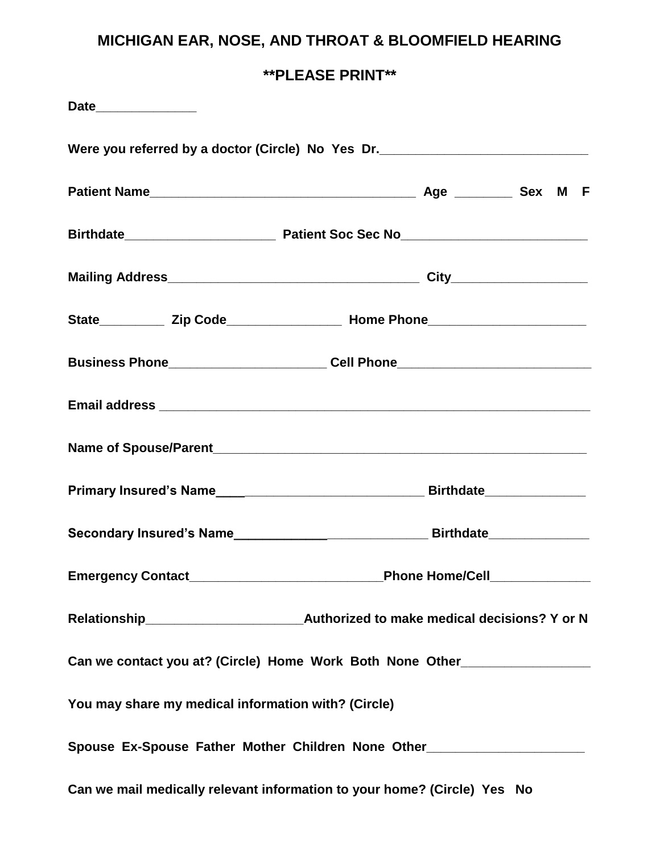# **MICHIGAN EAR, NOSE, AND THROAT & BLOOMFIELD HEARING**

**\*\*PLEASE PRINT\*\***

| Date______________                                  |                                                                                                               |  |
|-----------------------------------------------------|---------------------------------------------------------------------------------------------------------------|--|
|                                                     | Were you referred by a doctor (Circle) No Yes Dr. ______________________________                              |  |
|                                                     |                                                                                                               |  |
|                                                     |                                                                                                               |  |
|                                                     |                                                                                                               |  |
|                                                     |                                                                                                               |  |
|                                                     | Business Phone___________________________Cell Phone_____________________________                              |  |
|                                                     |                                                                                                               |  |
|                                                     |                                                                                                               |  |
|                                                     |                                                                                                               |  |
|                                                     | Secondary Insured's Name___________________________________Birthdate____________                              |  |
|                                                     |                                                                                                               |  |
|                                                     |                                                                                                               |  |
|                                                     | Can we contact you at? (Circle) Home Work Both None Other_______________________                              |  |
| You may share my medical information with? (Circle) |                                                                                                               |  |
|                                                     | Spouse Ex-Spouse Father Mother Children None Other [100] [2010] [2010] [2010] [2010] [2010] [2010] [2010] [20 |  |
|                                                     | Can we mail medically relevant information to your home? (Circle) Yes No                                      |  |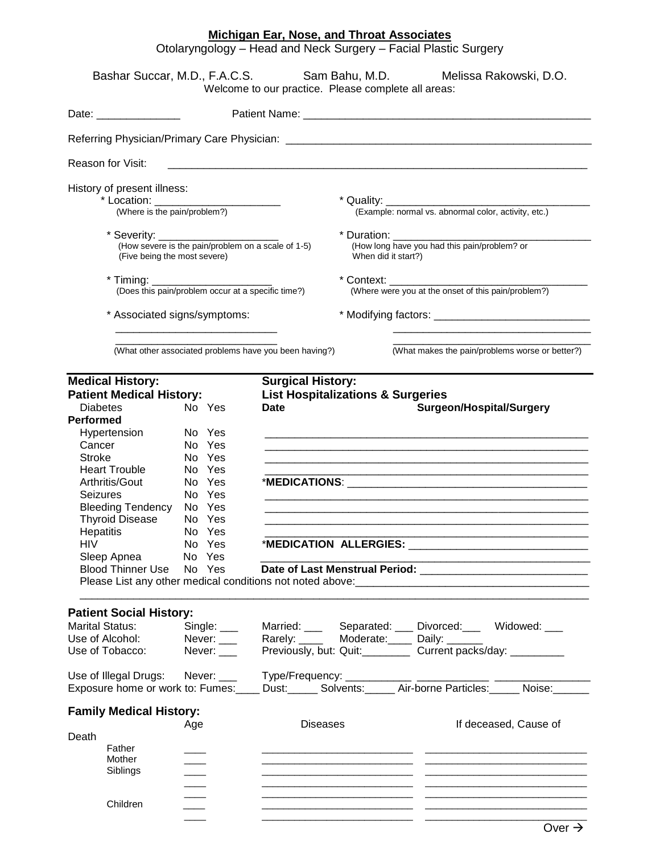#### **Michigan Ear, Nose, and Throat Associates**

Otolaryngology – Head and Neck Surgery – Facial Plastic Surgery

|                                                                                                                                                                                                                                                                                                                                | Bashar Succar, M.D., F.A.C.S.                                                                                                                         | Welcome to our practice. Please complete all areas:    |                                                                        | Sam Bahu, M.D. Melissa Rakowski, D.O.                                                                                                                                                                                                                                                                                                                                                                                                                                                               |
|--------------------------------------------------------------------------------------------------------------------------------------------------------------------------------------------------------------------------------------------------------------------------------------------------------------------------------|-------------------------------------------------------------------------------------------------------------------------------------------------------|--------------------------------------------------------|------------------------------------------------------------------------|-----------------------------------------------------------------------------------------------------------------------------------------------------------------------------------------------------------------------------------------------------------------------------------------------------------------------------------------------------------------------------------------------------------------------------------------------------------------------------------------------------|
| Date: _________________                                                                                                                                                                                                                                                                                                        |                                                                                                                                                       |                                                        |                                                                        |                                                                                                                                                                                                                                                                                                                                                                                                                                                                                                     |
|                                                                                                                                                                                                                                                                                                                                |                                                                                                                                                       |                                                        |                                                                        |                                                                                                                                                                                                                                                                                                                                                                                                                                                                                                     |
| <b>Reason for Visit:</b>                                                                                                                                                                                                                                                                                                       |                                                                                                                                                       |                                                        |                                                                        |                                                                                                                                                                                                                                                                                                                                                                                                                                                                                                     |
| History of present illness:                                                                                                                                                                                                                                                                                                    | * Location: __________________________<br>(Where is the pain/problem?)                                                                                |                                                        |                                                                        |                                                                                                                                                                                                                                                                                                                                                                                                                                                                                                     |
|                                                                                                                                                                                                                                                                                                                                | (Five being the most severe)                                                                                                                          |                                                        | When did it start?)                                                    |                                                                                                                                                                                                                                                                                                                                                                                                                                                                                                     |
| $*$ Timing:                                                                                                                                                                                                                                                                                                                    | (Does this pain/problem occur at a specific time?)                                                                                                    |                                                        | * Context: ______________                                              | (Where were you at the onset of this pain/problem?)                                                                                                                                                                                                                                                                                                                                                                                                                                                 |
|                                                                                                                                                                                                                                                                                                                                |                                                                                                                                                       |                                                        |                                                                        |                                                                                                                                                                                                                                                                                                                                                                                                                                                                                                     |
|                                                                                                                                                                                                                                                                                                                                | * Associated signs/symptoms:<br><u> 1989 - Johann Barbara, martin amerikan basar dan basa dan basa dan basa dalam basa dalam basa dalam basa dala</u> |                                                        |                                                                        |                                                                                                                                                                                                                                                                                                                                                                                                                                                                                                     |
|                                                                                                                                                                                                                                                                                                                                |                                                                                                                                                       | (What other associated problems have you been having?) |                                                                        | (What makes the pain/problems worse or better?)                                                                                                                                                                                                                                                                                                                                                                                                                                                     |
| <b>Medical History:</b><br><b>Patient Medical History:</b><br><b>Diabetes</b><br><b>Performed</b><br>Hypertension<br>Cancer<br><b>Stroke</b><br><b>Heart Trouble</b><br>Arthritis/Gout<br>Seizures<br><b>Bleeding Tendency</b><br><b>Thyroid Disease</b><br>Hepatitis<br><b>HIV</b><br>Sleep Apnea<br><b>Blood Thinner Use</b> | No Yes<br>No Yes<br>No Yes<br>No Yes<br>No Yes<br>No Yes<br>No Yes<br>No Yes<br>No Yes<br>No Yes<br>No Yes<br>No Yes<br>No Yes                        | <b>Surgical History:</b><br><b>Date</b>                | <b>List Hospitalizations &amp; Surgeries</b><br>*MEDICATION ALLERGIES: | <b>Surgeon/Hospital/Surgery</b><br>*MEDICATIONS: And the contract of the contract of the contract of the contract of the contract of the contract of the contract of the contract of the contract of the contract of the contract of the contract of the contract<br>Please List any other medical conditions not noted above: example and contact the control of the property of the conditions of the conditions of the conditions of the conditions of the conditions of the conditions of the c |
| <b>Patient Social History:</b><br><b>Marital Status:</b><br>Use of Alcohol:<br>Use of Tobacco:                                                                                                                                                                                                                                 | Never: $\rule{1em}{0.15mm}$<br>Never: $\rule{1em}{0.15mm}$                                                                                            |                                                        |                                                                        | Married: ____ Separated: ___ Divorced: ___ Widowed: ___<br>Rarely: ______ Moderate: _____ Daily: _______<br>Previously, but: Quit:___________ Current packs/day: __________                                                                                                                                                                                                                                                                                                                         |
|                                                                                                                                                                                                                                                                                                                                |                                                                                                                                                       |                                                        |                                                                        |                                                                                                                                                                                                                                                                                                                                                                                                                                                                                                     |
| <b>Family Medical History:</b><br>Death<br>Father<br>Mother<br>Siblings<br>Children                                                                                                                                                                                                                                            | Age                                                                                                                                                   | <b>Diseases</b>                                        |                                                                        | If deceased, Cause of                                                                                                                                                                                                                                                                                                                                                                                                                                                                               |

\_\_\_\_ \_\_\_\_\_\_\_\_\_\_\_\_\_\_\_\_\_\_\_\_\_\_\_\_\_\_\_\_ \_\_\_\_\_\_\_\_\_\_\_\_\_\_\_\_\_\_\_\_\_\_\_\_\_\_\_\_\_\_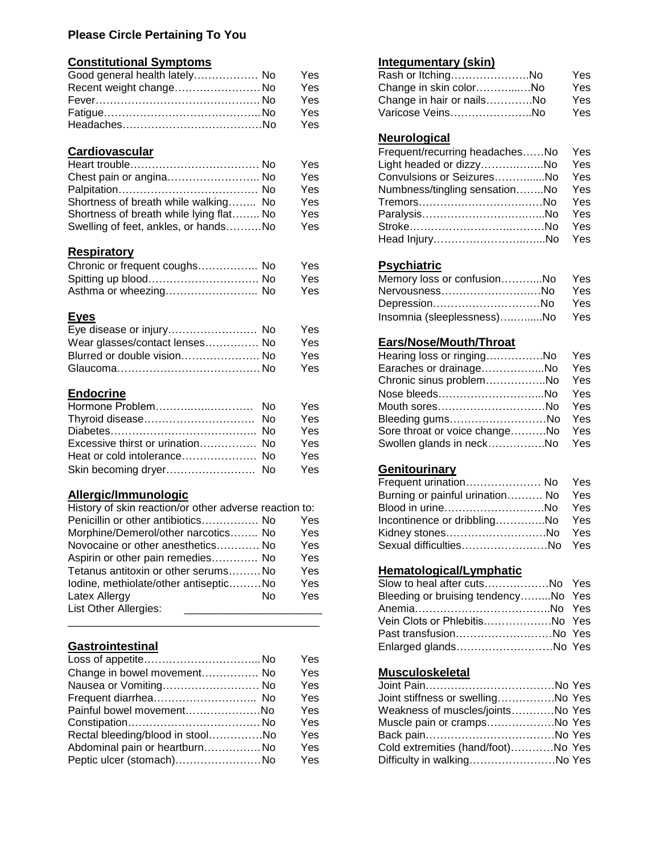#### **Please Circle Pertaining To You**

### **Constitutional Symptoms Integumentary (skin)**

| Good general health lately No | Yes | Rash or ItchingNo         | Yes |
|-------------------------------|-----|---------------------------|-----|
| Recent weight change No       | Yes | Change in skin colorNo    | Yes |
|                               | Yes | Change in hair or nailsNo | Yes |
|                               | Yes | Varicose VeinsNo          | Yes |
|                               | Yes |                           |     |

#### **Cardiovascular**

|                                         | Yes | Light headed or dizzyNo Yes       |  |
|-----------------------------------------|-----|-----------------------------------|--|
| Chest pain or angina No                 | Yes | Convulsions or SeizuresNo Yes     |  |
|                                         | Yes | Numbness/tingling sensationNo Yes |  |
| Shortness of breath while walking No    | Yes |                                   |  |
| Shortness of breath while lying flat No | Yes |                                   |  |
| Swelling of feet, ankles, or handsNo    | Yes |                                   |  |

#### **Respiratory**

| Chronic or frequent coughs No | Yes. | <b>Psychiatric</b>         |     |
|-------------------------------|------|----------------------------|-----|
|                               | Yes  | Memory loss or confusionNo | Yes |
| Asthma or wheezing No         | Yes  | _Nervousness………………………No    | Yes |

| Eye disease or injury No       | Yes        |                               |     |
|--------------------------------|------------|-------------------------------|-----|
| Wear glasses/contact lenses No | Yes.       | <b>Ears/Nose/Mouth/Throat</b> |     |
| Blurred or double vision No    | <b>Yes</b> | Hearing loss or ringingNo     | Yes |
|                                | Yes        | Earaches or drainageNo        | Yes |

### **Endocrine**

|                                  | <b>Yes</b> | Mouth soresNo Yes                 |  |
|----------------------------------|------------|-----------------------------------|--|
|                                  | <b>Yes</b> | Bleeding gumsNo Yes               |  |
|                                  | <b>Yes</b> | Sore throat or voice changeNo Yes |  |
| Excessive thirst or urination No | Yes        | Swollen glands in neckNo Yes      |  |
| Heat or cold intolerance No      | Yes        |                                   |  |
|                                  | Yes        | Genitourinary                     |  |

#### **Allergic/Immunologic**

| History of skin reaction/or other adverse reaction to: |            | Blood in urineNo Yes                |  |
|--------------------------------------------------------|------------|-------------------------------------|--|
| Penicillin or other antibiotics No                     | Yes        | Incontinence or dribblingNo Yes     |  |
| Morphine/Demerol/other narcotics No                    | Yes        | Kidney stonesNo Yes                 |  |
| Novocaine or other anesthetics No                      | <b>Yes</b> | Sexual difficultiesNo Yes           |  |
| Aspirin or other pain remedies No                      | Yes        |                                     |  |
| Tetanus antitoxin or other serumsNo                    | Yes        | Hematological/Lymphatic             |  |
| lodine, methiolate/other antisepticNo                  | Yes        | Slow to heal after cutsNo Yes       |  |
| Latex Allergy<br>No                                    | Yes        | Bleeding or bruising tendencyNo Yes |  |
| List Other Allergies:                                  |            |                                     |  |

### **Gastrointestinal**

|                                  | Yes        |                                    |  |
|----------------------------------|------------|------------------------------------|--|
| Change in bowel movement No      | <b>Yes</b> | <b>Musculoskeletal</b>             |  |
| Nausea or Vomiting No            | <b>Yes</b> |                                    |  |
|                                  | Yes        | Joint stiffness or swellingNo Yes  |  |
| Painful bowel movementNo         | Yes        | Weakness of muscles/jointsNo Yes   |  |
|                                  | Yes        | Muscle pain or crampsNo Yes        |  |
| Rectal bleeding/blood in stoolNo | Yes        |                                    |  |
| Abdominal pain or heartburnNo    | Yes        | Cold extremities (hand/foot)No Yes |  |
| Peptic ulcer (stomach)No         | Yes        | Difficulty in walkingNo Yes        |  |

| Rash or ItchingNo         | Yes        |
|---------------------------|------------|
| Change in skin colorNo    | Yes        |
| Change in hair or nailsNo | <b>Yes</b> |
| Varicose VeinsNo          | <b>Yes</b> |

#### **Neurological**

| Frequent/recurring headachesNo Yes |  |
|------------------------------------|--|
| Light headed or dizzyNo Yes        |  |
| Convulsions or SeizuresNo Yes      |  |
| Numbness/tingling sensationNo Yes  |  |
| TremorsNo Yes                      |  |
|                                    |  |
|                                    |  |
|                                    |  |

#### Chronic **Psychiatric** or

| Spitting up blood No  | Yes | Memory loss or confusionNo Yes |      |
|-----------------------|-----|--------------------------------|------|
| Asthma or wheezing No | Yes | Nervousness………………………No         | Yes. |
|                       |     | DepressionNo Yes               |      |
| <b>Eyes</b>           |     | Insomnia (sleeplessness)No Yes |      |

#### s <u>Ears/Nose/Mouth/Throat</u>

| Hearing loss or ringingNo Yes     |  |
|-----------------------------------|--|
| Earaches or drainageNo Yes        |  |
| Chronic sinus problemNo Yes       |  |
|                                   |  |
| Mouth soresNo Yes                 |  |
| Bleeding gumsNo Yes               |  |
| Sore throat or voice changeNo Yes |  |
| Swollen glands in neckNo Yes      |  |

### s **Genitourinary**

| Frequent urination No Yes           |  |
|-------------------------------------|--|
| Burning or painful urination No Yes |  |
| Blood in urineNo Yes                |  |
| Incontinence or dribblingNo Yes     |  |
| Kidney stonesNo Yes                 |  |
| Sexual difficultiesNo Yes           |  |

#### **Hematological/Lymphatic**

| lodine, methiolate/other antisepticNo |     | Yes | Slow to heal after cutsNo Yes       |  |
|---------------------------------------|-----|-----|-------------------------------------|--|
| Latex Allergy                         | No. | Yes | Bleeding or bruising tendencyNo Yes |  |
| List Other Allergies:                 |     |     |                                     |  |
|                                       |     |     | Vein Clots or PhlebitisNo Yes       |  |
|                                       |     |     |                                     |  |
| <b>Gastrointestinal</b>               |     |     |                                     |  |

#### Ehange in bower musculoskeletal

| Joint stiffness or swellingNo Yes  |  |
|------------------------------------|--|
| Weakness of muscles/jointsNo Yes   |  |
| Muscle pain or crampsNo Yes        |  |
|                                    |  |
| Cold extremities (hand/foot)No Yes |  |
| Difficulty in walkingNo Yes        |  |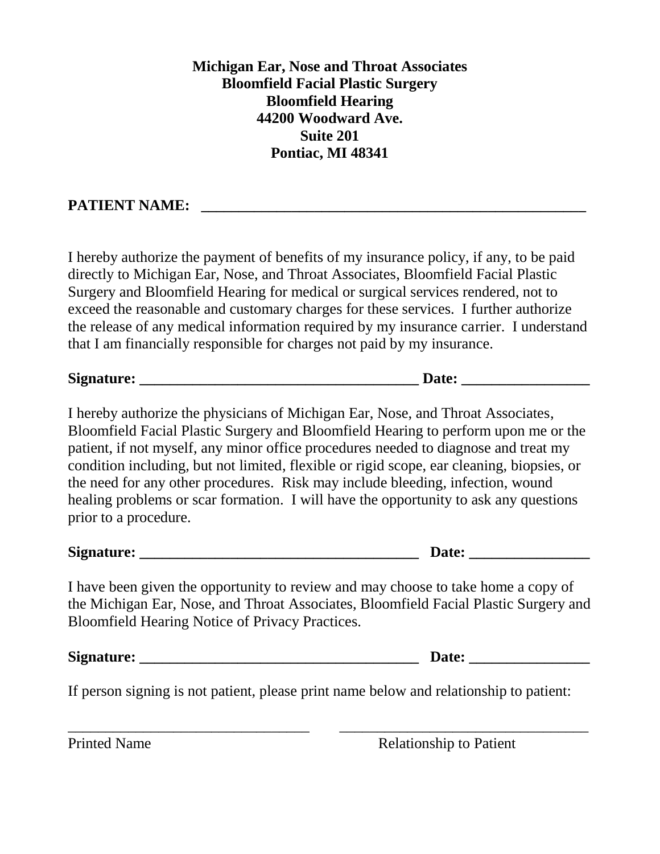**Michigan Ear, Nose and Throat Associates Bloomfield Facial Plastic Surgery Bloomfield Hearing 44200 Woodward Ave. Suite 201 Pontiac, MI 48341**

## **PATIENT NAME:**

I hereby authorize the payment of benefits of my insurance policy, if any, to be paid directly to Michigan Ear, Nose, and Throat Associates, Bloomfield Facial Plastic Surgery and Bloomfield Hearing for medical or surgical services rendered, not to exceed the reasonable and customary charges for these services. I further authorize the release of any medical information required by my insurance carrier. I understand that I am financially responsible for charges not paid by my insurance.

| $\mathbf{C}$<br>Signature: |  |
|----------------------------|--|
|                            |  |

I hereby authorize the physicians of Michigan Ear, Nose, and Throat Associates, Bloomfield Facial Plastic Surgery and Bloomfield Hearing to perform upon me or the patient, if not myself, any minor office procedures needed to diagnose and treat my condition including, but not limited, flexible or rigid scope, ear cleaning, biopsies, or the need for any other procedures. Risk may include bleeding, infection, wound healing problems or scar formation. I will have the opportunity to ask any questions prior to a procedure.

| Signa<br>tura:<br>160 L. |  |
|--------------------------|--|
|--------------------------|--|

I have been given the opportunity to review and may choose to take home a copy of the Michigan Ear, Nose, and Throat Associates, Bloomfield Facial Plastic Surgery and Bloomfield Hearing Notice of Privacy Practices.

Signature: **Date: D** 

If person signing is not patient, please print name below and relationship to patient:

 $\overline{\phantom{a}}$  , and the contract of the contract of the contract of the contract of the contract of the contract of the contract of the contract of the contract of the contract of the contract of the contract of the contrac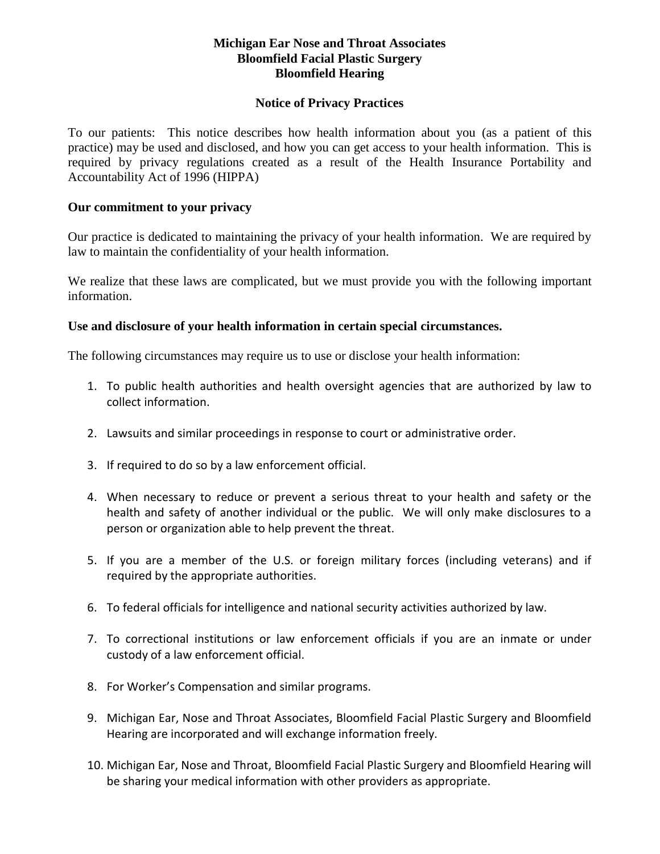#### **Michigan Ear Nose and Throat Associates Bloomfield Facial Plastic Surgery Bloomfield Hearing**

#### **Notice of Privacy Practices**

To our patients: This notice describes how health information about you (as a patient of this practice) may be used and disclosed, and how you can get access to your health information. This is required by privacy regulations created as a result of the Health Insurance Portability and Accountability Act of 1996 (HIPPA)

#### **Our commitment to your privacy**

Our practice is dedicated to maintaining the privacy of your health information. We are required by law to maintain the confidentiality of your health information.

We realize that these laws are complicated, but we must provide you with the following important information.

#### **Use and disclosure of your health information in certain special circumstances.**

The following circumstances may require us to use or disclose your health information:

- 1. To public health authorities and health oversight agencies that are authorized by law to collect information.
- 2. Lawsuits and similar proceedings in response to court or administrative order.
- 3. If required to do so by a law enforcement official.
- 4. When necessary to reduce or prevent a serious threat to your health and safety or the health and safety of another individual or the public. We will only make disclosures to a person or organization able to help prevent the threat.
- 5. If you are a member of the U.S. or foreign military forces (including veterans) and if required by the appropriate authorities.
- 6. To federal officials for intelligence and national security activities authorized by law.
- 7. To correctional institutions or law enforcement officials if you are an inmate or under custody of a law enforcement official.
- 8. For Worker's Compensation and similar programs.
- 9. Michigan Ear, Nose and Throat Associates, Bloomfield Facial Plastic Surgery and Bloomfield Hearing are incorporated and will exchange information freely.
- 10. Michigan Ear, Nose and Throat, Bloomfield Facial Plastic Surgery and Bloomfield Hearing will be sharing your medical information with other providers as appropriate.